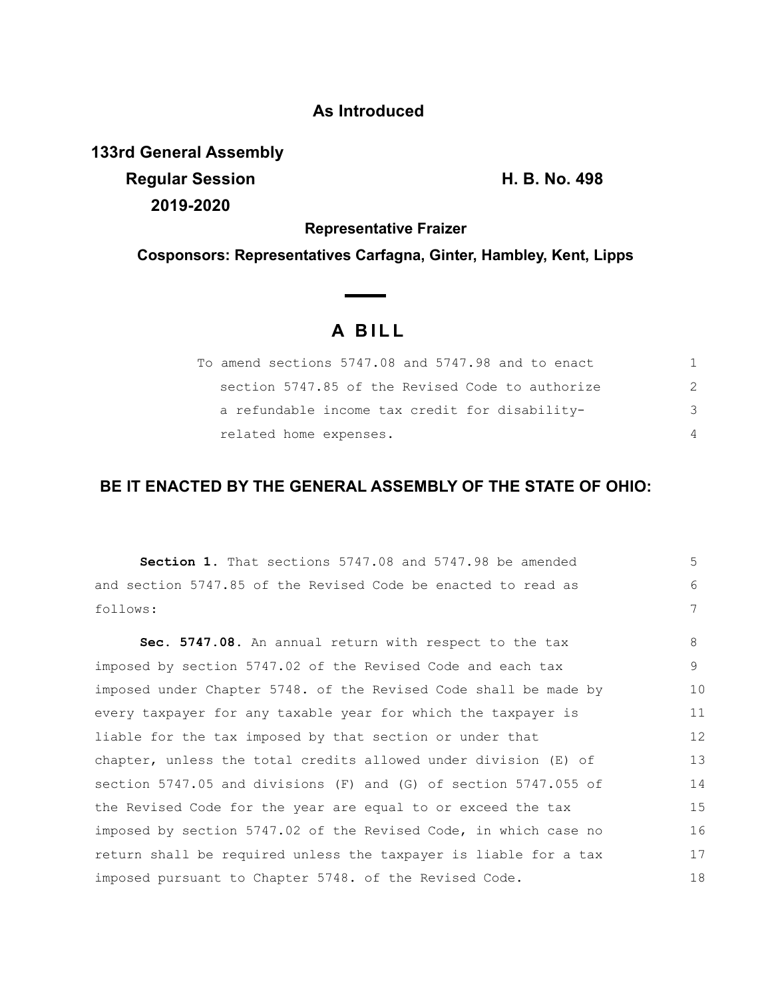### **As Introduced**

**133rd General Assembly**

**Regular Session H. B. No. 498 2019-2020**

**Representative Fraizer**

**Cosponsors: Representatives Carfagna, Ginter, Hambley, Kent, Lipps**

# **A B I L L**

| To amend sections 5747.08 and 5747.98 and to enact |               |
|----------------------------------------------------|---------------|
| section 5747.85 of the Revised Code to authorize   | $\mathcal{P}$ |
| a refundable income tax credit for disability-     | 3             |
| related home expenses.                             | 4             |

## **BE IT ENACTED BY THE GENERAL ASSEMBLY OF THE STATE OF OHIO:**

**Section 1.** That sections 5747.08 and 5747.98 be amended and section 5747.85 of the Revised Code be enacted to read as follows: **Sec. 5747.08.** An annual return with respect to the tax imposed by section 5747.02 of the Revised Code and each tax imposed under Chapter 5748. of the Revised Code shall be made by every taxpayer for any taxable year for which the taxpayer is liable for the tax imposed by that section or under that chapter, unless the total credits allowed under division (E) of section 5747.05 and divisions (F) and (G) of section 5747.055 of the Revised Code for the year are equal to or exceed the tax imposed by section 5747.02 of the Revised Code, in which case no return shall be required unless the taxpayer is liable for a tax imposed pursuant to Chapter 5748. of the Revised Code. 5 6 7 8 9 10 11 12 13 14 15 16 17 18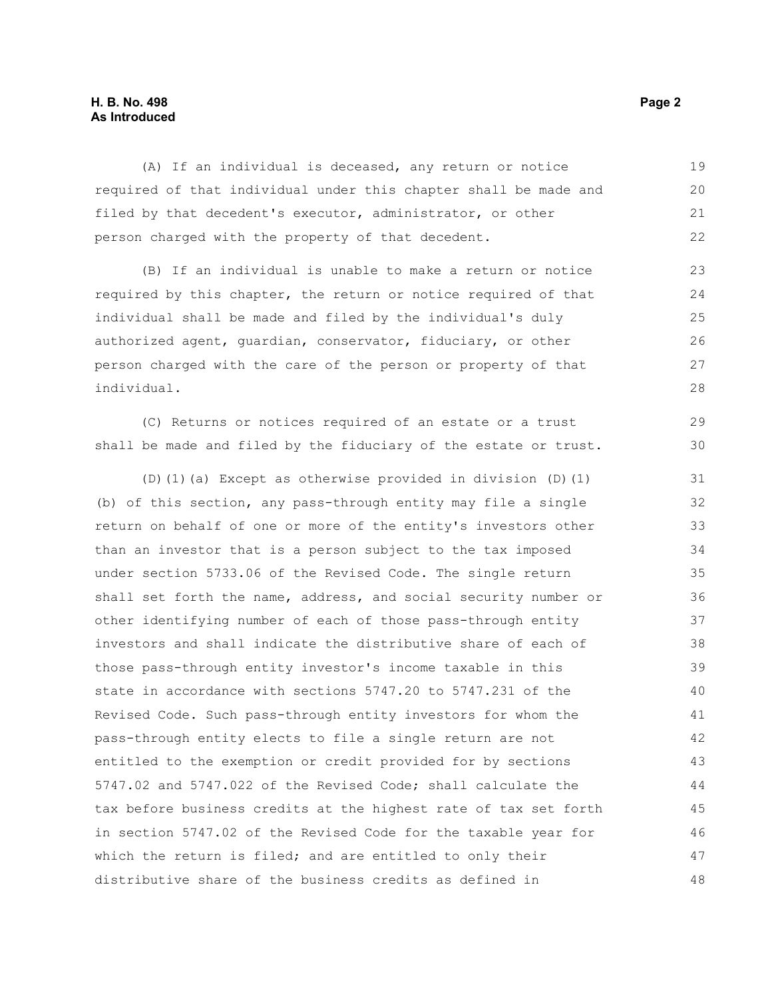### **H. B. No. 498 Page 2 As Introduced**

(A) If an individual is deceased, any return or notice required of that individual under this chapter shall be made and filed by that decedent's executor, administrator, or other person charged with the property of that decedent. 19 20 21 22

(B) If an individual is unable to make a return or notice required by this chapter, the return or notice required of that individual shall be made and filed by the individual's duly authorized agent, guardian, conservator, fiduciary, or other person charged with the care of the person or property of that individual.

(C) Returns or notices required of an estate or a trust shall be made and filed by the fiduciary of the estate or trust.

(D)(1)(a) Except as otherwise provided in division (D)(1) (b) of this section, any pass-through entity may file a single return on behalf of one or more of the entity's investors other than an investor that is a person subject to the tax imposed under section 5733.06 of the Revised Code. The single return shall set forth the name, address, and social security number or other identifying number of each of those pass-through entity investors and shall indicate the distributive share of each of those pass-through entity investor's income taxable in this state in accordance with sections 5747.20 to 5747.231 of the Revised Code. Such pass-through entity investors for whom the pass-through entity elects to file a single return are not entitled to the exemption or credit provided for by sections 5747.02 and 5747.022 of the Revised Code; shall calculate the tax before business credits at the highest rate of tax set forth in section 5747.02 of the Revised Code for the taxable year for which the return is filed; and are entitled to only their distributive share of the business credits as defined in 31 32 33 34 35 36 37 38 39 40 41 42 43 44 45 46 47 48

29 30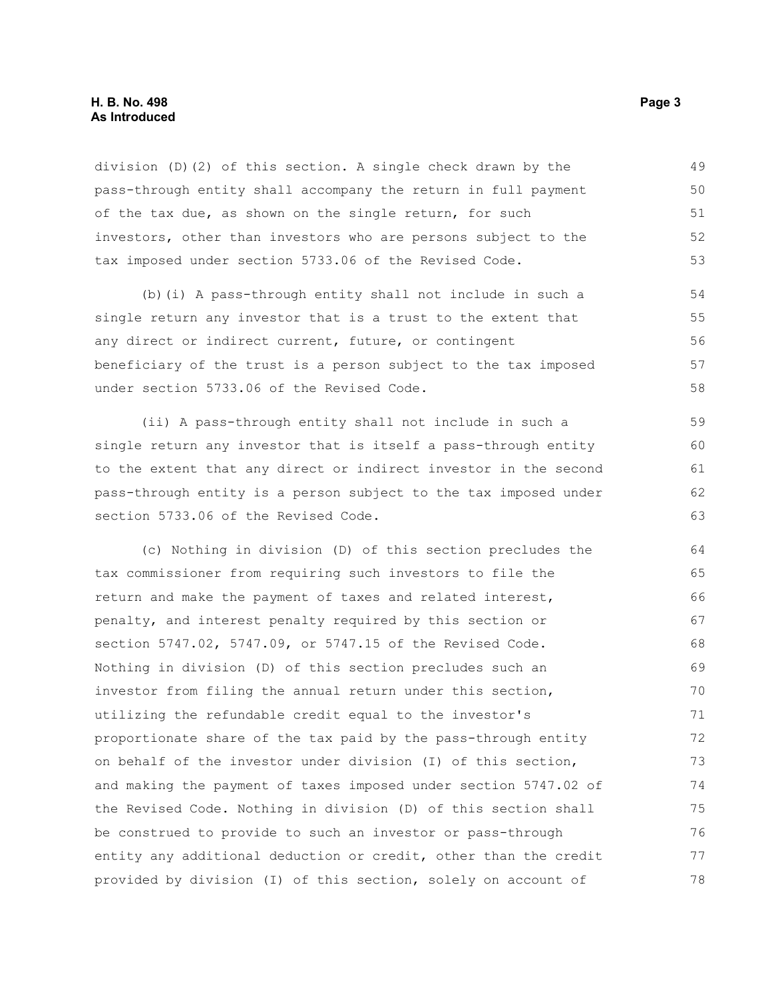#### **H. B. No. 498 Page 3 As Introduced**

division (D)(2) of this section. A single check drawn by the pass-through entity shall accompany the return in full payment of the tax due, as shown on the single return, for such investors, other than investors who are persons subject to the tax imposed under section 5733.06 of the Revised Code. 49 50 51 52 53

(b)(i) A pass-through entity shall not include in such a single return any investor that is a trust to the extent that any direct or indirect current, future, or contingent beneficiary of the trust is a person subject to the tax imposed under section 5733.06 of the Revised Code.

(ii) A pass-through entity shall not include in such a single return any investor that is itself a pass-through entity to the extent that any direct or indirect investor in the second pass-through entity is a person subject to the tax imposed under section 5733.06 of the Revised Code.

(c) Nothing in division (D) of this section precludes the tax commissioner from requiring such investors to file the return and make the payment of taxes and related interest, penalty, and interest penalty required by this section or section 5747.02, 5747.09, or 5747.15 of the Revised Code. Nothing in division (D) of this section precludes such an investor from filing the annual return under this section, utilizing the refundable credit equal to the investor's proportionate share of the tax paid by the pass-through entity on behalf of the investor under division (I) of this section, and making the payment of taxes imposed under section 5747.02 of the Revised Code. Nothing in division (D) of this section shall be construed to provide to such an investor or pass-through entity any additional deduction or credit, other than the credit provided by division (I) of this section, solely on account of 64 65 66 67 68 69 70 71 72 73 74 75 76 77 78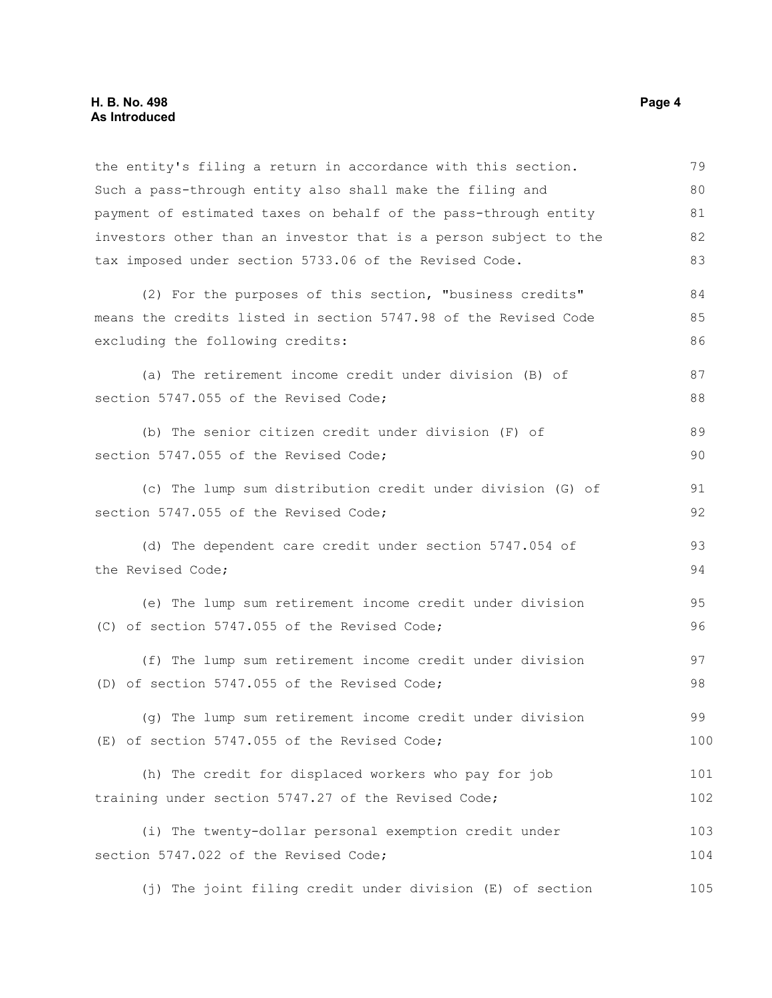the entity's filing a return in accordance with this section. Such a pass-through entity also shall make the filing and payment of estimated taxes on behalf of the pass-through entity investors other than an investor that is a person subject to the tax imposed under section 5733.06 of the Revised Code. (2) For the purposes of this section, "business credits" means the credits listed in section 5747.98 of the Revised Code excluding the following credits: (a) The retirement income credit under division (B) of section 5747.055 of the Revised Code; (b) The senior citizen credit under division (F) of section 5747.055 of the Revised Code; (c) The lump sum distribution credit under division (G) of section 5747.055 of the Revised Code; (d) The dependent care credit under section 5747.054 of the Revised Code; (e) The lump sum retirement income credit under division (C) of section 5747.055 of the Revised Code; (f) The lump sum retirement income credit under division (D) of section 5747.055 of the Revised Code; (g) The lump sum retirement income credit under division (E) of section 5747.055 of the Revised Code; (h) The credit for displaced workers who pay for job training under section 5747.27 of the Revised Code; (i) The twenty-dollar personal exemption credit under section 5747.022 of the Revised Code; (j) The joint filing credit under division (E) of section 79 80 81 82 83 84 85 86 87 88 89 90 91 92 93 94 95 96 97 98 99 100 101 102 103 104 105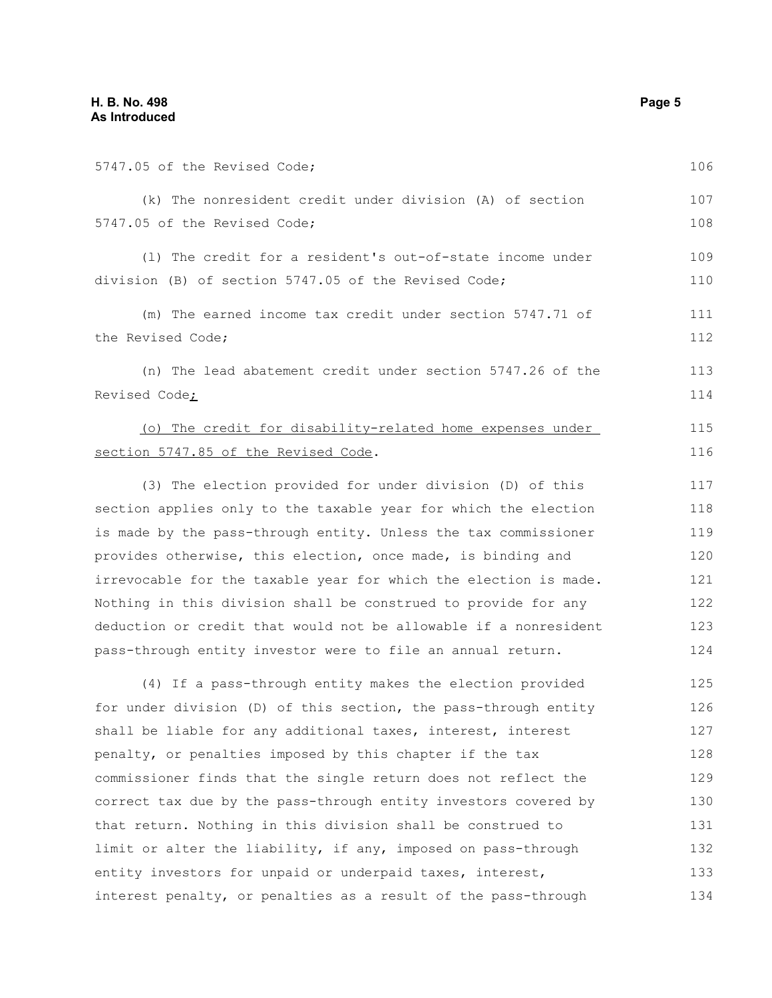5747.05 of the Revised Code; (k) The nonresident credit under division (A) of section 5747.05 of the Revised Code; (l) The credit for a resident's out-of-state income under division (B) of section 5747.05 of the Revised Code; (m) The earned income tax credit under section 5747.71 of the Revised Code; (n) The lead abatement credit under section 5747.26 of the Revised Code<sub>i</sub> (o) The credit for disability-related home expenses under section 5747.85 of the Revised Code. (3) The election provided for under division (D) of this section applies only to the taxable year for which the election is made by the pass-through entity. Unless the tax commissioner provides otherwise, this election, once made, is binding and irrevocable for the taxable year for which the election is made. Nothing in this division shall be construed to provide for any deduction or credit that would not be allowable if a nonresident pass-through entity investor were to file an annual return. (4) If a pass-through entity makes the election provided for under division (D) of this section, the pass-through entity shall be liable for any additional taxes, interest, interest penalty, or penalties imposed by this chapter if the tax commissioner finds that the single return does not reflect the correct tax due by the pass-through entity investors covered by 106 107 108 109 110 111 112 113 114 115 116 117 118 119 120 121 122 123 124 125 126 127 128 129 130

that return. Nothing in this division shall be construed to limit or alter the liability, if any, imposed on pass-through entity investors for unpaid or underpaid taxes, interest, interest penalty, or penalties as a result of the pass-through 131 132 133 134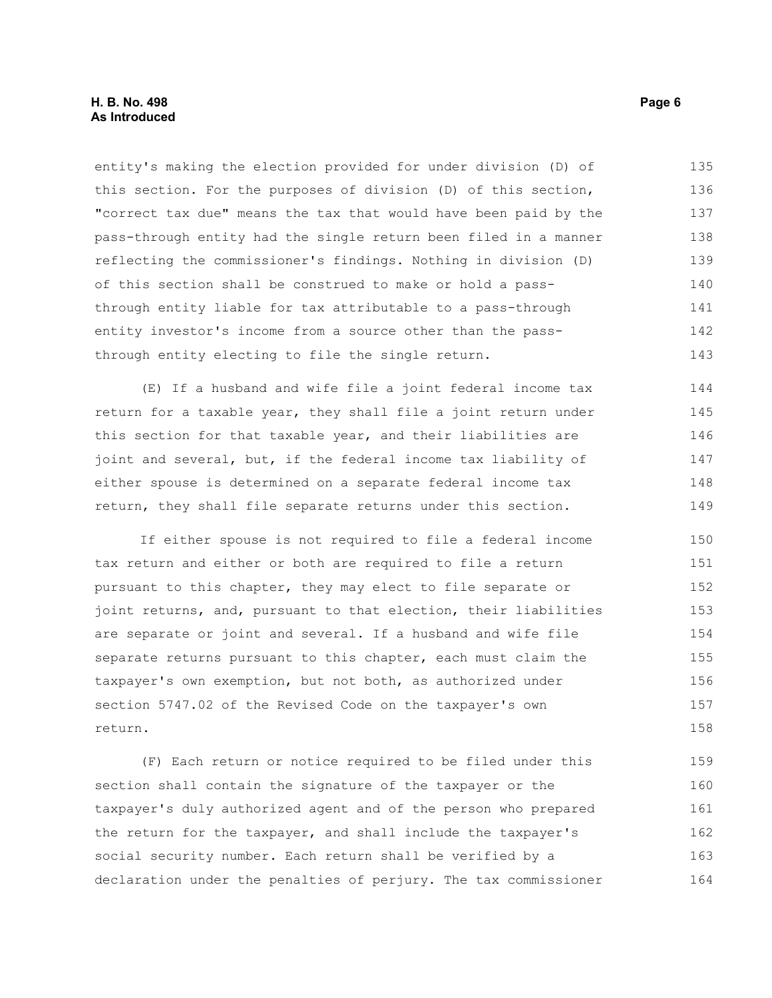entity's making the election provided for under division (D) of this section. For the purposes of division (D) of this section, "correct tax due" means the tax that would have been paid by the pass-through entity had the single return been filed in a manner reflecting the commissioner's findings. Nothing in division (D) of this section shall be construed to make or hold a passthrough entity liable for tax attributable to a pass-through entity investor's income from a source other than the passthrough entity electing to file the single return. 135 136 137 138 139 140 141 142 143

(E) If a husband and wife file a joint federal income tax return for a taxable year, they shall file a joint return under this section for that taxable year, and their liabilities are joint and several, but, if the federal income tax liability of either spouse is determined on a separate federal income tax return, they shall file separate returns under this section. 144 145 146 147 148 149

If either spouse is not required to file a federal income tax return and either or both are required to file a return pursuant to this chapter, they may elect to file separate or joint returns, and, pursuant to that election, their liabilities are separate or joint and several. If a husband and wife file separate returns pursuant to this chapter, each must claim the taxpayer's own exemption, but not both, as authorized under section 5747.02 of the Revised Code on the taxpayer's own return. 150 151 152 153 154 155 156 157 158

(F) Each return or notice required to be filed under this section shall contain the signature of the taxpayer or the taxpayer's duly authorized agent and of the person who prepared the return for the taxpayer, and shall include the taxpayer's social security number. Each return shall be verified by a declaration under the penalties of perjury. The tax commissioner 159 160 161 162 163 164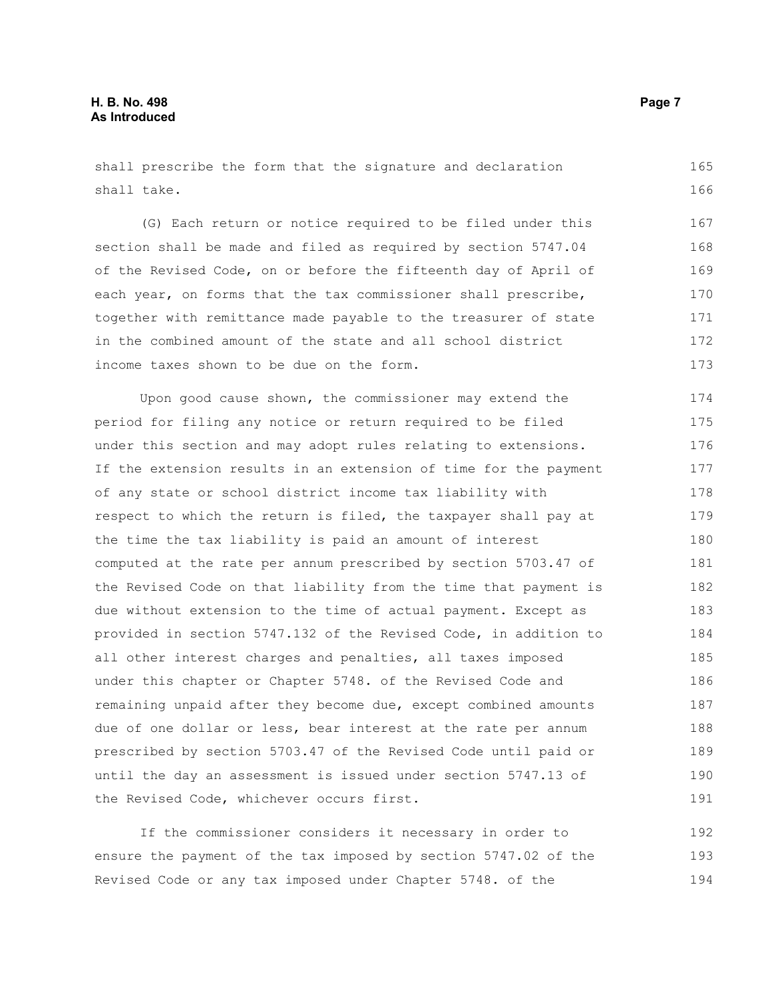shall prescribe the form that the signature and declaration shall take. 165 166

(G) Each return or notice required to be filed under this section shall be made and filed as required by section 5747.04 of the Revised Code, on or before the fifteenth day of April of each year, on forms that the tax commissioner shall prescribe, together with remittance made payable to the treasurer of state in the combined amount of the state and all school district income taxes shown to be due on the form. 167 168 169 170 171 172 173

Upon good cause shown, the commissioner may extend the period for filing any notice or return required to be filed under this section and may adopt rules relating to extensions. If the extension results in an extension of time for the payment of any state or school district income tax liability with respect to which the return is filed, the taxpayer shall pay at the time the tax liability is paid an amount of interest computed at the rate per annum prescribed by section 5703.47 of the Revised Code on that liability from the time that payment is due without extension to the time of actual payment. Except as provided in section 5747.132 of the Revised Code, in addition to all other interest charges and penalties, all taxes imposed under this chapter or Chapter 5748. of the Revised Code and remaining unpaid after they become due, except combined amounts due of one dollar or less, bear interest at the rate per annum prescribed by section 5703.47 of the Revised Code until paid or until the day an assessment is issued under section 5747.13 of the Revised Code, whichever occurs first. 174 175 176 177 178 179 180 181 182 183 184 185 186 187 188 189 190 191

If the commissioner considers it necessary in order to ensure the payment of the tax imposed by section 5747.02 of the Revised Code or any tax imposed under Chapter 5748. of the 192 193 194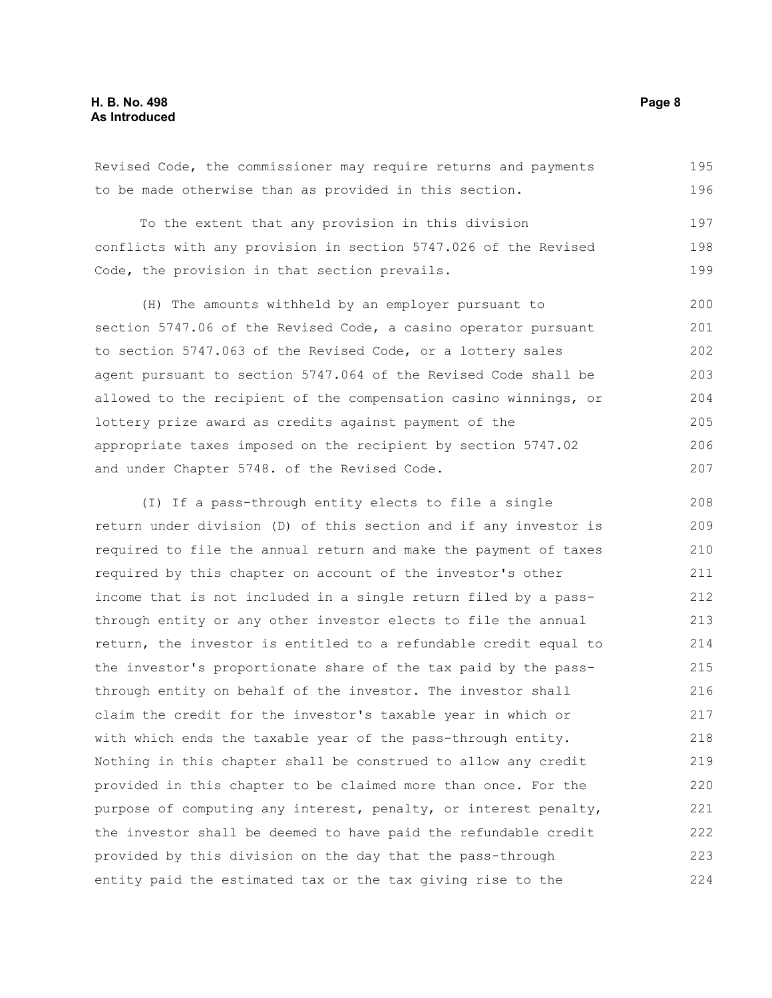Revised Code, the commissioner may require returns and payments to be made otherwise than as provided in this section. 195 196

To the extent that any provision in this division conflicts with any provision in section 5747.026 of the Revised Code, the provision in that section prevails. 197 198 199

(H) The amounts withheld by an employer pursuant to section 5747.06 of the Revised Code, a casino operator pursuant to section 5747.063 of the Revised Code, or a lottery sales agent pursuant to section 5747.064 of the Revised Code shall be allowed to the recipient of the compensation casino winnings, or lottery prize award as credits against payment of the appropriate taxes imposed on the recipient by section 5747.02 and under Chapter 5748. of the Revised Code. 200 201 202 203 204 205 206 207

(I) If a pass-through entity elects to file a single return under division (D) of this section and if any investor is required to file the annual return and make the payment of taxes required by this chapter on account of the investor's other income that is not included in a single return filed by a passthrough entity or any other investor elects to file the annual return, the investor is entitled to a refundable credit equal to the investor's proportionate share of the tax paid by the passthrough entity on behalf of the investor. The investor shall claim the credit for the investor's taxable year in which or with which ends the taxable year of the pass-through entity. Nothing in this chapter shall be construed to allow any credit provided in this chapter to be claimed more than once. For the purpose of computing any interest, penalty, or interest penalty, the investor shall be deemed to have paid the refundable credit provided by this division on the day that the pass-through entity paid the estimated tax or the tax giving rise to the 208 209 210 211 212 213 214 215 216 217 218 219 220 221 222 223 224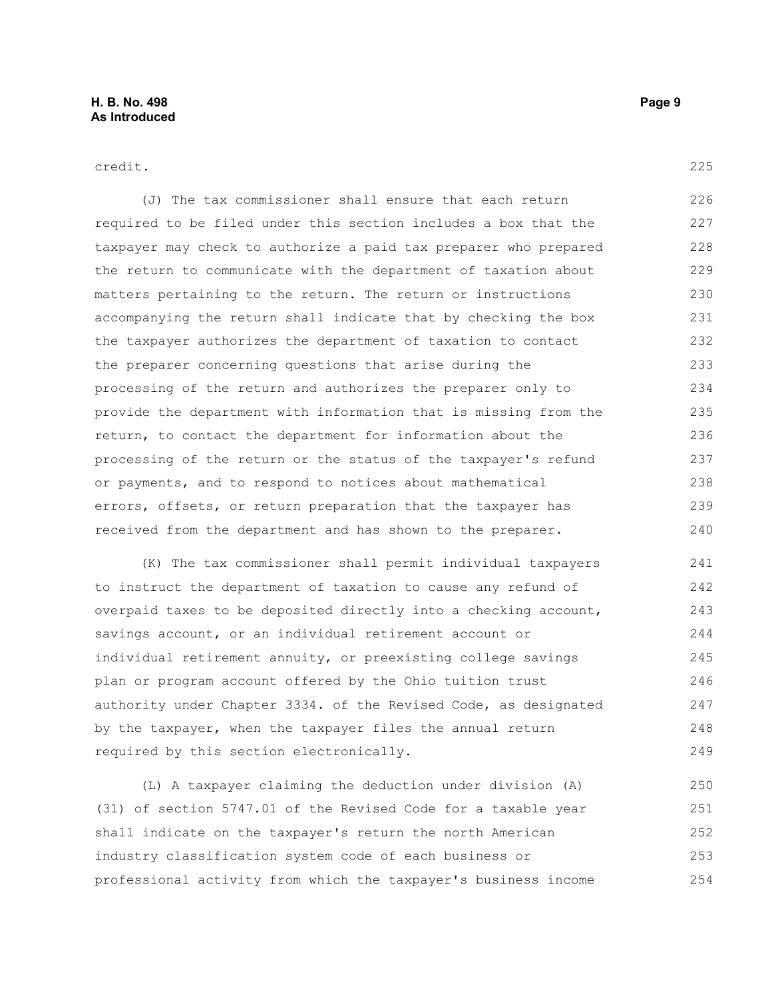credit.

(J) The tax commissioner shall ensure that each return required to be filed under this section includes a box that the taxpayer may check to authorize a paid tax preparer who prepared the return to communicate with the department of taxation about matters pertaining to the return. The return or instructions accompanying the return shall indicate that by checking the box the taxpayer authorizes the department of taxation to contact the preparer concerning questions that arise during the processing of the return and authorizes the preparer only to provide the department with information that is missing from the return, to contact the department for information about the processing of the return or the status of the taxpayer's refund or payments, and to respond to notices about mathematical errors, offsets, or return preparation that the taxpayer has received from the department and has shown to the preparer. 226 227 228 229 230 231 232 233 234 235 236 237 238 239 240

(K) The tax commissioner shall permit individual taxpayers to instruct the department of taxation to cause any refund of overpaid taxes to be deposited directly into a checking account, savings account, or an individual retirement account or individual retirement annuity, or preexisting college savings plan or program account offered by the Ohio tuition trust authority under Chapter 3334. of the Revised Code, as designated by the taxpayer, when the taxpayer files the annual return required by this section electronically. 241 242 243 244 245 246 247 248 249

(L) A taxpayer claiming the deduction under division (A) (31) of section 5747.01 of the Revised Code for a taxable year shall indicate on the taxpayer's return the north American industry classification system code of each business or professional activity from which the taxpayer's business income 250 251 252 253 254

225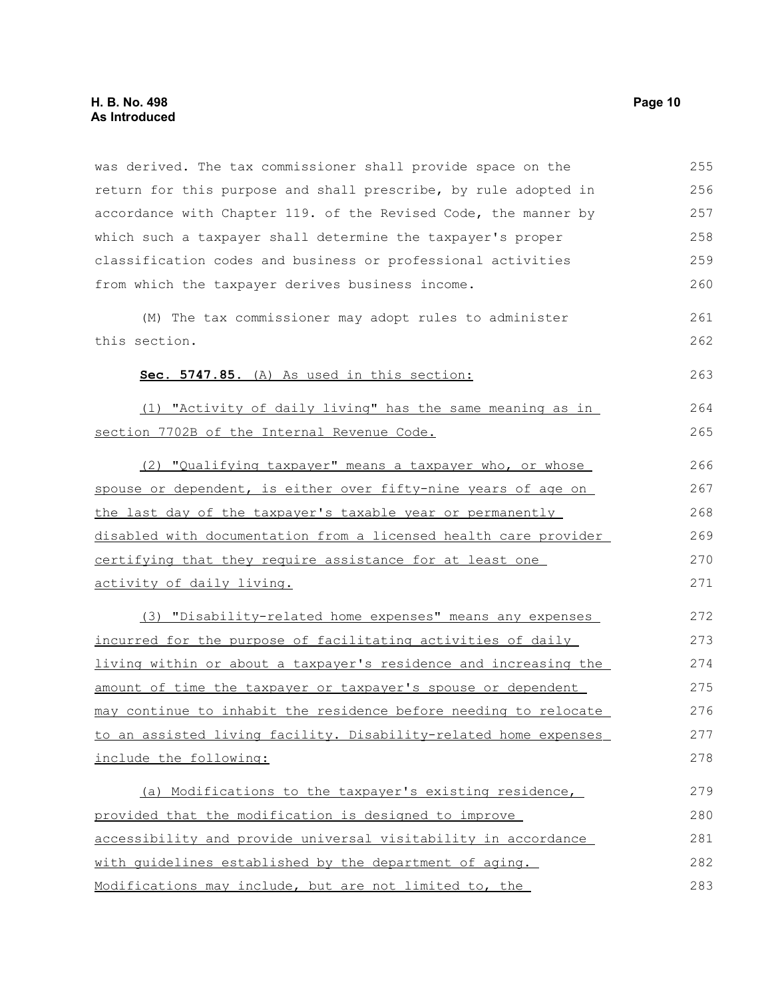was derived. The tax commissioner shall provide space on the return for this purpose and shall prescribe, by rule adopted in accordance with Chapter 119. of the Revised Code, the manner by which such a taxpayer shall determine the taxpayer's proper classification codes and business or professional activities from which the taxpayer derives business income. (M) The tax commissioner may adopt rules to administer this section. **Sec. 5747.85.** (A) As used in this section: (1) "Activity of daily living" has the same meaning as in section 7702B of the Internal Revenue Code. (2) "Qualifying taxpayer" means a taxpayer who, or whose spouse or dependent, is either over fifty-nine years of age on the last day of the taxpayer's taxable year or permanently disabled with documentation from a licensed health care provider certifying that they require assistance for at least one activity of daily living. (3) "Disability-related home expenses" means any expenses incurred for the purpose of facilitating activities of daily living within or about a taxpayer's residence and increasing the amount of time the taxpayer or taxpayer's spouse or dependent may continue to inhabit the residence before needing to relocate to an assisted living facility. Disability-related home expenses include the following: (a) Modifications to the taxpayer's existing residence, provided that the modification is designed to improve accessibility and provide universal visitability in accordance with guidelines established by the department of aging. Modifications may include, but are not limited to, the 255 256 257 258 259 260 261 262 263 264 265 266 267 268 269 270 271 272 273 274 275 276 277 278 279 280 281 282 283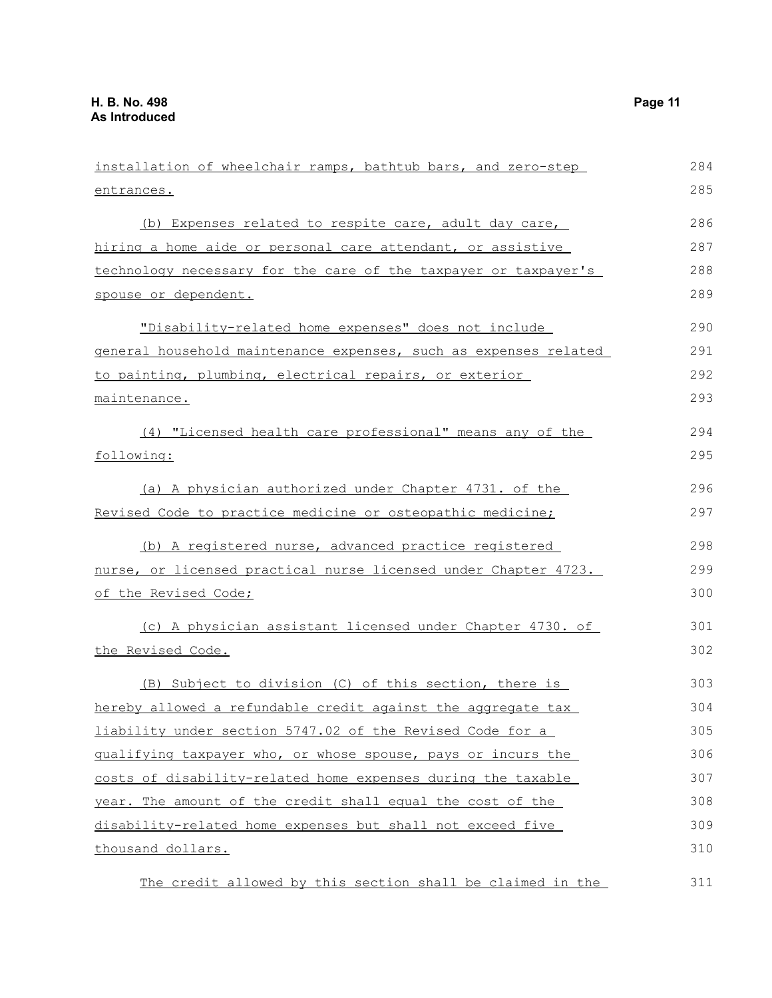| installation of wheelchair ramps, bathtub bars, and zero-step            | 284 |
|--------------------------------------------------------------------------|-----|
| entrances.                                                               | 285 |
| (b) Expenses related to respite care, adult day care,                    | 286 |
| <u>hiring a home aide or personal care attendant, or assistive </u>      | 287 |
| technology necessary for the care of the taxpayer or taxpayer's          | 288 |
| spouse or dependent.                                                     | 289 |
| "Disability-related home expenses" does not include                      | 290 |
| <u>general household maintenance expenses, such as expenses related </u> | 291 |
| to painting, plumbing, electrical repairs, or exterior                   | 292 |
| maintenance.                                                             | 293 |
| (4) "Licensed health care professional" means any of the                 | 294 |
| following:                                                               | 295 |
| (a) A physician authorized under Chapter 4731. of the                    | 296 |
| Revised Code to practice medicine or osteopathic medicine;               | 297 |
| (b) A registered nurse, advanced practice registered                     | 298 |
| nurse, or licensed practical nurse licensed under Chapter 4723.          | 299 |
| <u>of the Revised Code;</u>                                              | 300 |
| (c) A physician assistant licensed under Chapter 4730. of                | 301 |
| the Revised Code.                                                        | 302 |
| (B) Subject to division (C) of this section, there is                    | 303 |
| hereby allowed a refundable credit against the aggregate tax             | 304 |
| liability under section 5747.02 of the Revised Code for a                | 305 |
| qualifying taxpayer who, or whose spouse, pays or incurs the             | 306 |
| costs of disability-related home expenses during the taxable             | 307 |
| year. The amount of the credit shall equal the cost of the               | 308 |
| disability-related home expenses but shall not exceed five               | 309 |
| thousand dollars.                                                        | 310 |
|                                                                          |     |

The credit allowed by this section shall be claimed in the 311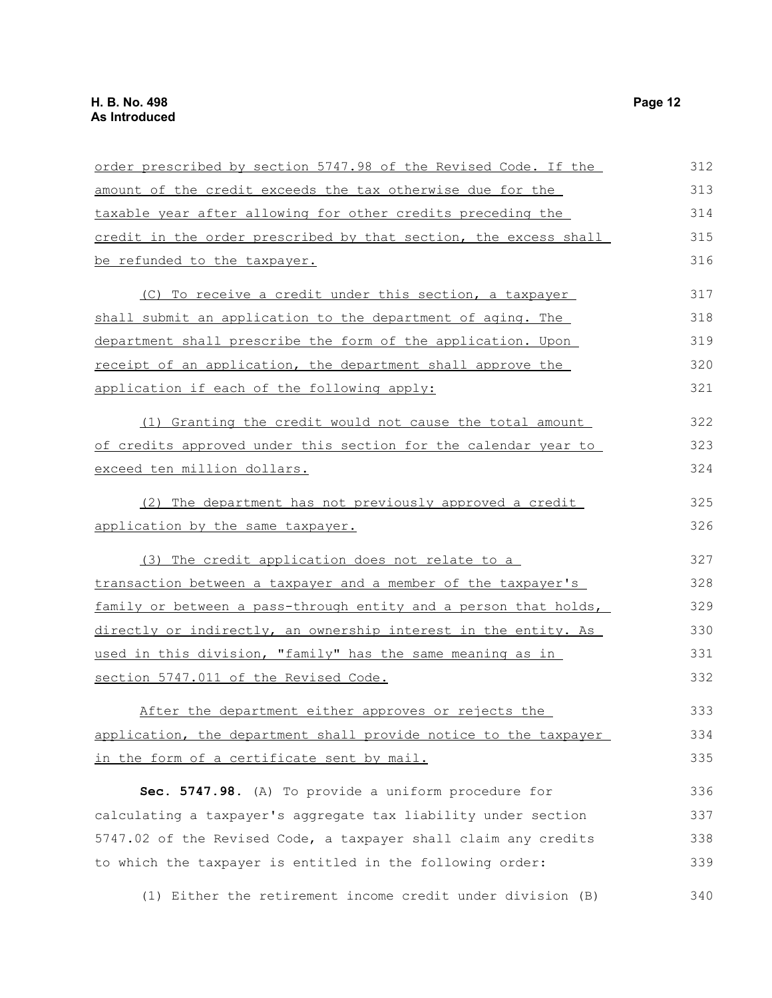| order prescribed by section 5747.98 of the Revised Code. If the  | 312 |
|------------------------------------------------------------------|-----|
| amount of the credit exceeds the tax otherwise due for the       | 313 |
| taxable year after allowing for other credits preceding the      | 314 |
| credit in the order prescribed by that section, the excess shall | 315 |
| be refunded to the taxpayer.                                     | 316 |
| (C) To receive a credit under this section, a taxpayer           | 317 |
| shall submit an application to the department of aging. The      | 318 |
| department shall prescribe the form of the application. Upon     | 319 |
| receipt of an application, the department shall approve the      | 320 |
| application if each of the following apply:                      | 321 |
| (1) Granting the credit would not cause the total amount         | 322 |
| of credits approved under this section for the calendar year to  | 323 |
| exceed ten million dollars.                                      | 324 |
| (2) The department has not previously approved a credit          | 325 |
| application by the same taxpayer.                                | 326 |
| (3) The credit application does not relate to a                  | 327 |
| transaction between a taxpayer and a member of the taxpayer's    | 328 |
| family or between a pass-through entity and a person that holds, | 329 |
| directly or indirectly, an ownership interest in the entity. As  | 330 |
| used in this division, "family" has the same meaning as in       | 331 |
| section 5747.011 of the Revised Code.                            | 332 |
| After the department either approves or rejects the              | 333 |
| application, the department shall provide notice to the taxpayer | 334 |
| in the form of a certificate sent by mail.                       | 335 |
| Sec. 5747.98. (A) To provide a uniform procedure for             | 336 |
| calculating a taxpayer's aggregate tax liability under section   | 337 |
| 5747.02 of the Revised Code, a taxpayer shall claim any credits  | 338 |
| to which the taxpayer is entitled in the following order:        | 339 |
| (1) Either the retirement income credit under division (B)       | 340 |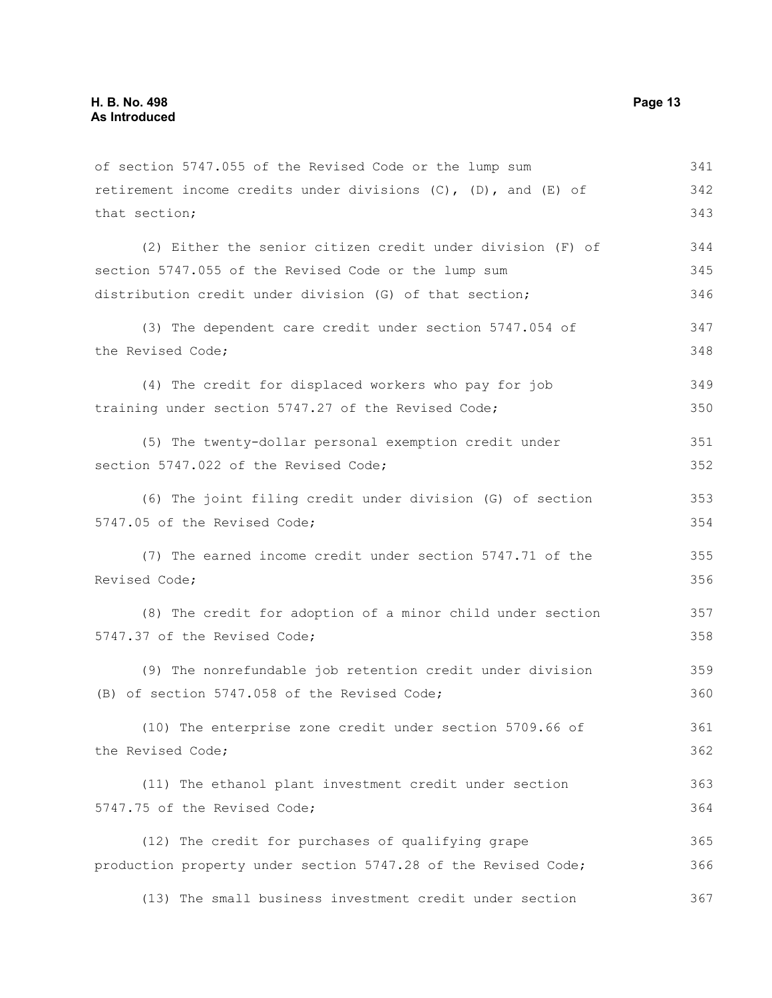| of section 5747.055 of the Revised Code or the lump sum        | 341 |
|----------------------------------------------------------------|-----|
| retirement income credits under divisions (C), (D), and (E) of | 342 |
| that section;                                                  | 343 |
| (2) Either the senior citizen credit under division (F) of     | 344 |
| section 5747.055 of the Revised Code or the lump sum           | 345 |
| distribution credit under division (G) of that section;        | 346 |
| (3) The dependent care credit under section 5747.054 of        | 347 |
| the Revised Code;                                              | 348 |
| (4) The credit for displaced workers who pay for job           | 349 |
| training under section 5747.27 of the Revised Code;            | 350 |
| (5) The twenty-dollar personal exemption credit under          | 351 |
| section 5747.022 of the Revised Code;                          | 352 |
| (6) The joint filing credit under division (G) of section      | 353 |
| 5747.05 of the Revised Code;                                   | 354 |
| (7) The earned income credit under section 5747.71 of the      | 355 |
| Revised Code;                                                  | 356 |
| (8) The credit for adoption of a minor child under section     | 357 |
| 5747.37 of the Revised Code;                                   | 358 |
| (9) The nonrefundable job retention credit under division      | 359 |
| (B) of section 5747.058 of the Revised Code;                   | 360 |
| (10) The enterprise zone credit under section 5709.66 of       | 361 |
| the Revised Code;                                              | 362 |
| (11) The ethanol plant investment credit under section         | 363 |
| 5747.75 of the Revised Code;                                   | 364 |
| (12) The credit for purchases of qualifying grape              | 365 |
| production property under section 5747.28 of the Revised Code; | 366 |
| (13) The small business investment credit under section        | 367 |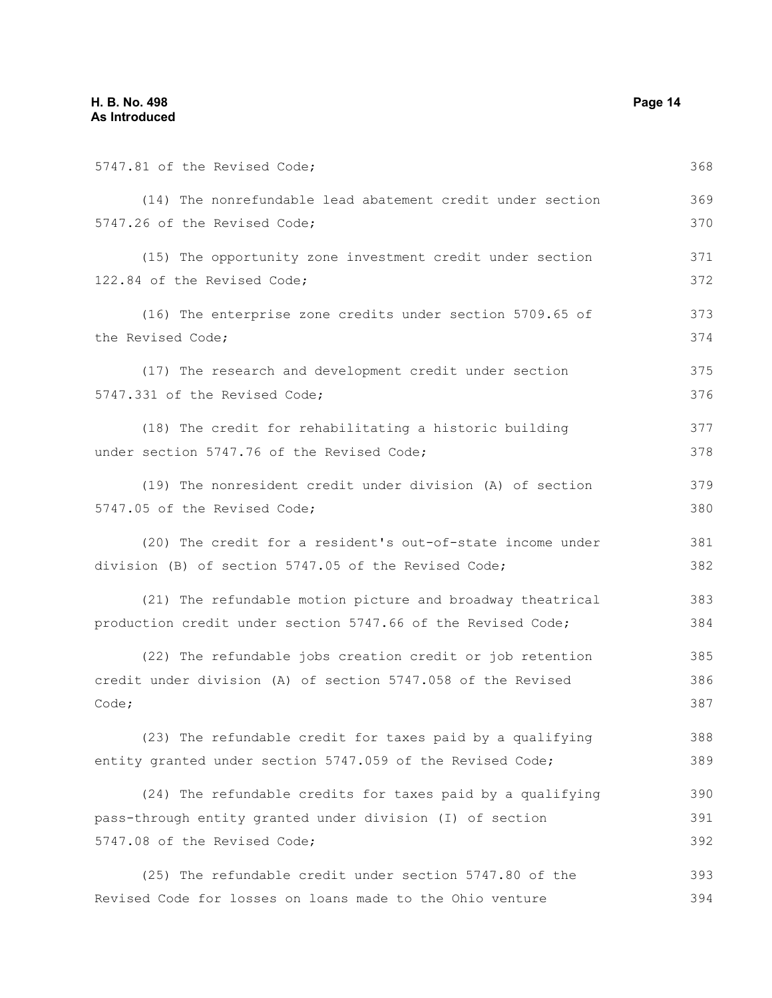| 5747.81 of the Revised Code;                                 | 368 |
|--------------------------------------------------------------|-----|
| (14) The nonrefundable lead abatement credit under section   | 369 |
| 5747.26 of the Revised Code;                                 | 370 |
| (15) The opportunity zone investment credit under section    | 371 |
| 122.84 of the Revised Code;                                  | 372 |
| (16) The enterprise zone credits under section 5709.65 of    | 373 |
| the Revised Code;                                            | 374 |
| (17) The research and development credit under section       | 375 |
| 5747.331 of the Revised Code;                                | 376 |
| (18) The credit for rehabilitating a historic building       | 377 |
| under section 5747.76 of the Revised Code;                   | 378 |
| (19) The nonresident credit under division (A) of section    | 379 |
| 5747.05 of the Revised Code;                                 | 380 |
| (20) The credit for a resident's out-of-state income under   | 381 |
| division (B) of section 5747.05 of the Revised Code;         | 382 |
| (21) The refundable motion picture and broadway theatrical   | 383 |
| production credit under section 5747.66 of the Revised Code; | 384 |
| (22) The refundable jobs creation credit or job retention    | 385 |
| credit under division (A) of section 5747.058 of the Revised | 386 |
| Code;                                                        | 387 |
| (23) The refundable credit for taxes paid by a qualifying    | 388 |
| entity granted under section 5747.059 of the Revised Code;   | 389 |
| (24) The refundable credits for taxes paid by a qualifying   | 390 |
| pass-through entity granted under division (I) of section    | 391 |
| 5747.08 of the Revised Code;                                 | 392 |
| (25) The refundable credit under section 5747.80 of the      | 393 |
| Revised Code for losses on loans made to the Ohio venture    | 394 |